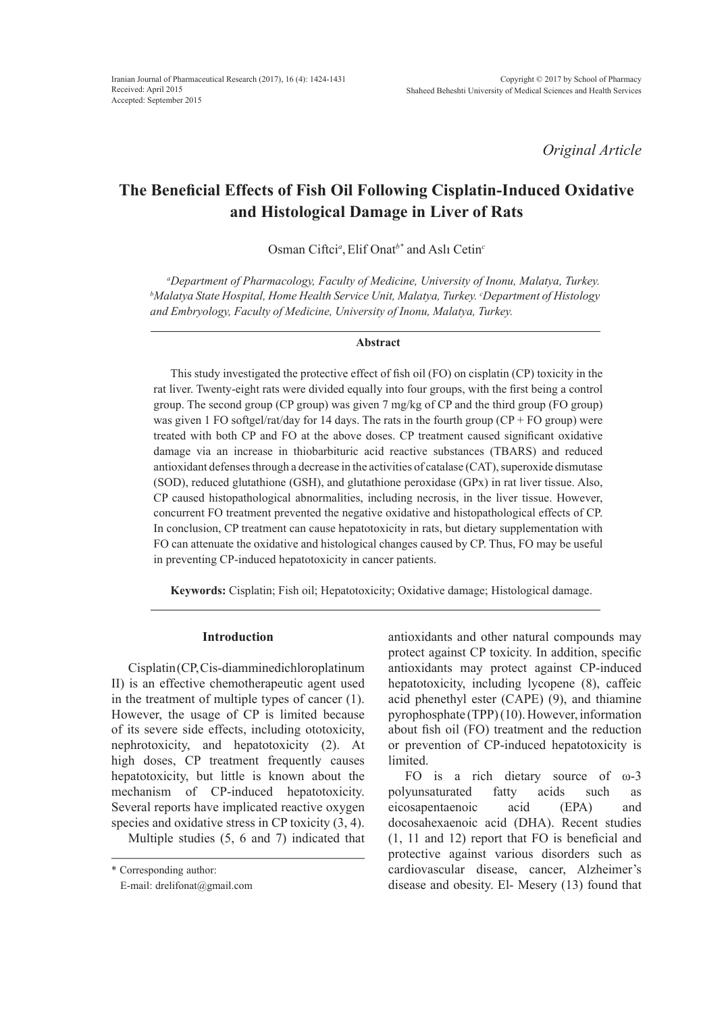*Original Article*

# **The Beneficial Effects of Fish Oil Following Cisplatin-Induced Oxidative and Histological Damage in Liver of Rats**

Osman Ciftci*<sup>a</sup>* ,Elif Onat*b\** and Aslı Cetin*<sup>c</sup>*

*a Department of Pharmacology, Faculty of Medicine, University of Inonu, Malatya, Turkey. b Malatya State Hospital, Home Health Service Unit, Malatya, Turkey. c Department of Histology and Embryology, Faculty of Medicine, University of Inonu, Malatya, Turkey.*

## **Abstract**

This study investigated the protective effect of fish oil (FO) on cisplatin (CP) toxicity in the rat liver. Twenty-eight rats were divided equally into four groups, with the first being a control group. The second group (CP group) was given 7 mg/kg of CP and the third group (FO group) was given 1 FO softgel/rat/day for 14 days. The rats in the fourth group ( $CP + FO$  group) were treated with both CP and FO at the above doses. CP treatment caused significant oxidative damage via an increase in thiobarbituric acid reactive substances (TBARS) and reduced antioxidant defenses through a decrease in the activities of catalase (CAT), superoxide dismutase (SOD), reduced glutathione (GSH), and glutathione peroxidase (GPx) in rat liver tissue. Also, CP caused histopathological abnormalities, including necrosis, in the liver tissue. However, concurrent FO treatment prevented the negative oxidative and histopathological effects of CP. In conclusion, CP treatment can cause hepatotoxicity in rats, but dietary supplementation with FO can attenuate the oxidative and histological changes caused by CP. Thus, FO may be useful in preventing CP-induced hepatotoxicity in cancer patients.

**Keywords:** Cisplatin; Fish oil; Hepatotoxicity; Oxidative damage; Histological damage.

# **Introduction**

Cisplatin (CP, Cis-diamminedichloroplatinum II) is an effective chemotherapeutic agent used in the treatment of multiple types of cancer (1). However, the usage of CP is limited because of its severe side effects, including ototoxicity, nephrotoxicity, and hepatotoxicity (2). At high doses, CP treatment frequently causes hepatotoxicity, but little is known about the mechanism of CP-induced hepatotoxicity. Several reports have implicated reactive oxygen species and oxidative stress in CP toxicity  $(3, 4)$ .

Multiple studies (5, 6 and 7) indicated that

antioxidants and other natural compounds may protect against CP toxicity. In addition, specific antioxidants may protect against CP-induced hepatotoxicity, including lycopene (8), caffeic acid phenethyl ester (CAPE) (9), and thiamine pyrophosphate (TPP) (10). However, information about fish oil (FO) treatment and the reduction or prevention of CP-induced hepatotoxicity is limited.

FO is a rich dietary source of ω-3 polyunsaturated fatty acids such as eicosapentaenoic acid (EPA) and docosahexaenoic acid (DHA). Recent studies (1, 11 and 12) report that FO is beneficial and protective against various disorders such as cardiovascular disease, cancer, Alzheimer's disease and obesity. El- Mesery (13) found that

<sup>\*</sup> Corresponding author:

E-mail: drelifonat@gmail.com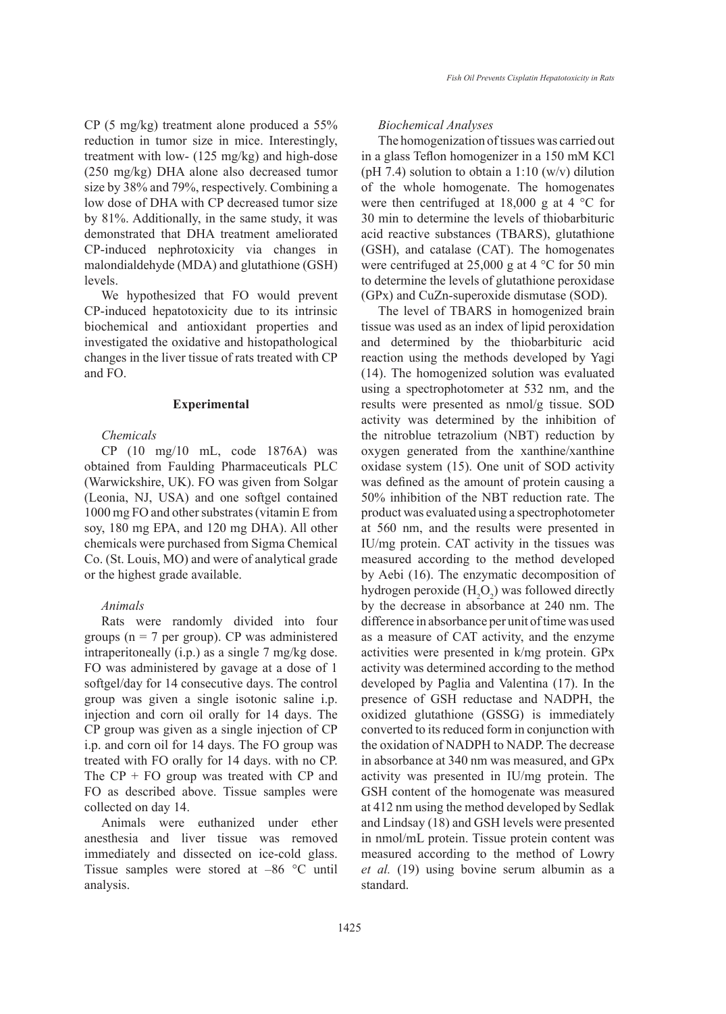CP (5 mg/kg) treatment alone produced a 55% reduction in tumor size in mice. Interestingly, treatment with low- (125 mg/kg) and high-dose (250 mg/kg) DHA alone also decreased tumor size by 38% and 79%, respectively. Combining a low dose of DHA with CP decreased tumor size by 81%. Additionally, in the same study, it was demonstrated that DHA treatment ameliorated CP-induced nephrotoxicity via changes in malondialdehyde (MDA) and glutathione (GSH) levels.

We hypothesized that FO would prevent CP-induced hepatotoxicity due to its intrinsic biochemical and antioxidant properties and investigated the oxidative and histopathological changes in the liver tissue of rats treated with CP and FO.

## **Experimental**

# *Chemicals*

CP (10 mg/10 mL, code 1876A) was obtained from Faulding Pharmaceuticals PLC (Warwickshire, UK). FO was given from Solgar (Leonia, NJ, USA) and one softgel contained 1000 mg FO and other substrates (vitamin E from soy, 180 mg EPA, and 120 mg DHA). All other chemicals were purchased from Sigma Chemical Co. (St. Louis, MO) and were of analytical grade or the highest grade available.

# *Animals*

Rats were randomly divided into four groups ( $n = 7$  per group). CP was administered intraperitoneally (i.p.) as a single 7 mg/kg dose. FO was administered by gavage at a dose of 1 softgel/day for 14 consecutive days. The control group was given a single isotonic saline i.p. injection and corn oil orally for 14 days. The CP group was given as a single injection of CP i.p. and corn oil for 14 days. The FO group was treated with FO orally for 14 days. with no CP. The  $CP + FO$  group was treated with  $CP$  and FO as described above. Tissue samples were collected on day 14.

Animals were euthanized under ether anesthesia and liver tissue was removed immediately and dissected on ice-cold glass. Tissue samples were stored at –86 °C until analysis.

# *Biochemical Analyses*

The homogenization of tissues was carried out in a glass Teflon homogenizer in a 150 mM KCl (pH 7.4) solution to obtain a 1:10 (w/v) dilution of the whole homogenate. The homogenates were then centrifuged at  $18,000 \text{ g}$  at  $4 \text{ }^{\circ}\text{C}$  for 30 min to determine the levels of thiobarbituric acid reactive substances (TBARS), glutathione (GSH), and catalase (CAT). The homogenates were centrifuged at 25,000 g at 4 °C for 50 min to determine the levels of glutathione peroxidase (GPx) and CuZn-superoxide dismutase (SOD).

The level of TBARS in homogenized brain tissue was used as an index of lipid peroxidation and determined by the thiobarbituric acid reaction using the methods developed by Yagi (14). The homogenized solution was evaluated using a spectrophotometer at 532 nm, and the results were presented as nmol/g tissue. SOD activity was determined by the inhibition of the nitroblue tetrazolium (NBT) reduction by oxygen generated from the xanthine/xanthine oxidase system (15). One unit of SOD activity was defined as the amount of protein causing a 50% inhibition of the NBT reduction rate. The product was evaluated using a spectrophotometer at 560 nm, and the results were presented in IU/mg protein. CAT activity in the tissues was measured according to the method developed by Aebi (16). The enzymatic decomposition of hydrogen peroxide  $(H_2O_2)$  was followed directly by the decrease in absorbance at 240 nm. The difference in absorbance per unit of time was used as a measure of CAT activity, and the enzyme activities were presented in k/mg protein. GPx activity was determined according to the method developed by Paglia and Valentina (17). In the presence of GSH reductase and NADPH, the oxidized glutathione (GSSG) is immediately converted to its reduced form in conjunction with the oxidation of NADPH to NADP. The decrease in absorbance at 340 nm was measured, and GPx activity was presented in IU/mg protein. The GSH content of the homogenate was measured at 412 nm using the method developed by Sedlak and Lindsay (18) and GSH levels were presented in nmol/mL protein. Tissue protein content was measured according to the method of Lowry *et al.* (19) using bovine serum albumin as a standard.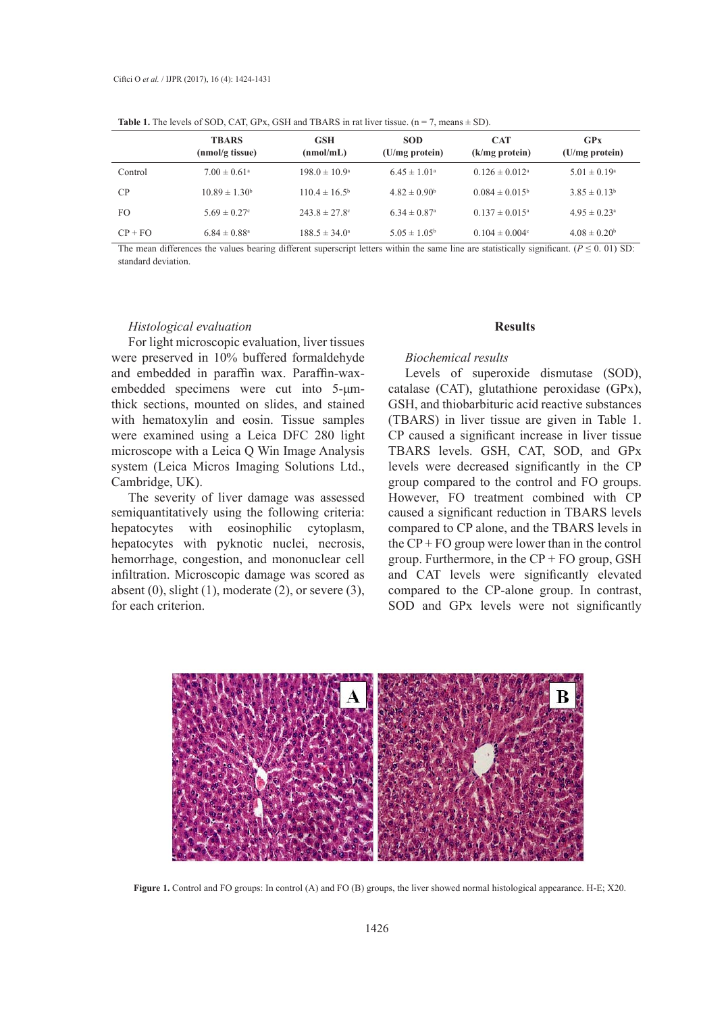|           | <b>TBARS</b><br>(nmol/g tissue) | <b>GSH</b><br>(nmol/mL)  | <b>SOD</b><br>$(U/mg)$ protein) | <b>CAT</b><br>$(k/mg$ protein) | GPx<br>$(U/mg)$ protein)     |  |
|-----------|---------------------------------|--------------------------|---------------------------------|--------------------------------|------------------------------|--|
| Control   | $7.00 \pm 0.61$ <sup>a</sup>    | $198.0 \pm 10.9^{\circ}$ | $6.45 \pm 1.01^{\circ}$         | $0.126 \pm 0.012$ <sup>a</sup> | $5.01 \pm 0.19^{\circ}$      |  |
| CP        | $10.89 \pm 1.30^b$              | $110.4 \pm 16.5^{\circ}$ | $4.82 \pm 0.90^b$               | $0.084 \pm 0.015^b$            | $3.85 \pm 0.13^b$            |  |
| FO        | $5.69 \pm 0.27$ °               | $243.8 \pm 27.8$ °       | $6.34 \pm 0.87$ <sup>a</sup>    | $0.137 \pm 0.015^{\text{a}}$   | $4.95 \pm 0.23$ <sup>a</sup> |  |
| $CP + FO$ | $6.84 \pm 0.88$ <sup>a</sup>    | $188.5 \pm 34.0^{\circ}$ | $5.05 \pm 1.05^{\rm b}$         | $0.104 \pm 0.004$ <sup>c</sup> | $4.08 \pm 0.20^b$            |  |

**Table 1.** The levels of SOD, CAT, GPx, GSH and TBARS in rat liver tissue.  $(n = 7)$ , means  $\pm$  SD).

The mean differences the values bearing different superscript letters within the same line are statistically significant. ( $P \le 0.01$ ) SD: standard deviation.

#### *Histological evaluation*

For light microscopic evaluation, liver tissues were preserved in 10% buffered formaldehyde and embedded in paraffin wax. Paraffin-waxembedded specimens were cut into 5-μmthick sections, mounted on slides, and stained with hematoxylin and eosin. Tissue samples were examined using a Leica DFC 280 light microscope with a Leica Q Win Image Analysis system (Leica Micros Imaging Solutions Ltd., Cambridge, UK).

The severity of liver damage was assessed semiquantitatively using the following criteria: hepatocytes with eosinophilic cytoplasm, hepatocytes with pyknotic nuclei, necrosis, hemorrhage, congestion, and mononuclear cell infiltration. Microscopic damage was scored as absent  $(0)$ , slight  $(1)$ , moderate  $(2)$ , or severe  $(3)$ , for each criterion.

#### **Results**

## *Biochemical results*

Levels of superoxide dismutase (SOD), catalase (CAT), glutathione peroxidase (GPx), GSH, and thiobarbituric acid reactive substances (TBARS) in liver tissue are given in Table 1. CP caused a significant increase in liver tissue TBARS levels. GSH, CAT, SOD, and GPx levels were decreased significantly in the CP group compared to the control and FO groups. However, FO treatment combined with CP caused a significant reduction in TBARS levels compared to CP alone, and the TBARS levels in the  $CP + FO$  group were lower than in the control group. Furthermore, in the  $CP + FO$  group, GSH oscopic damage was scored as and CAT levels were significantly elevated compared to the CP-alone group. In contrast, SOD and GPx levels were not significantly iterion.



Figure 1. Control and FO groups: In control (A) and FO (B) groups, the liver showed normal histological appearance. H-E; X20.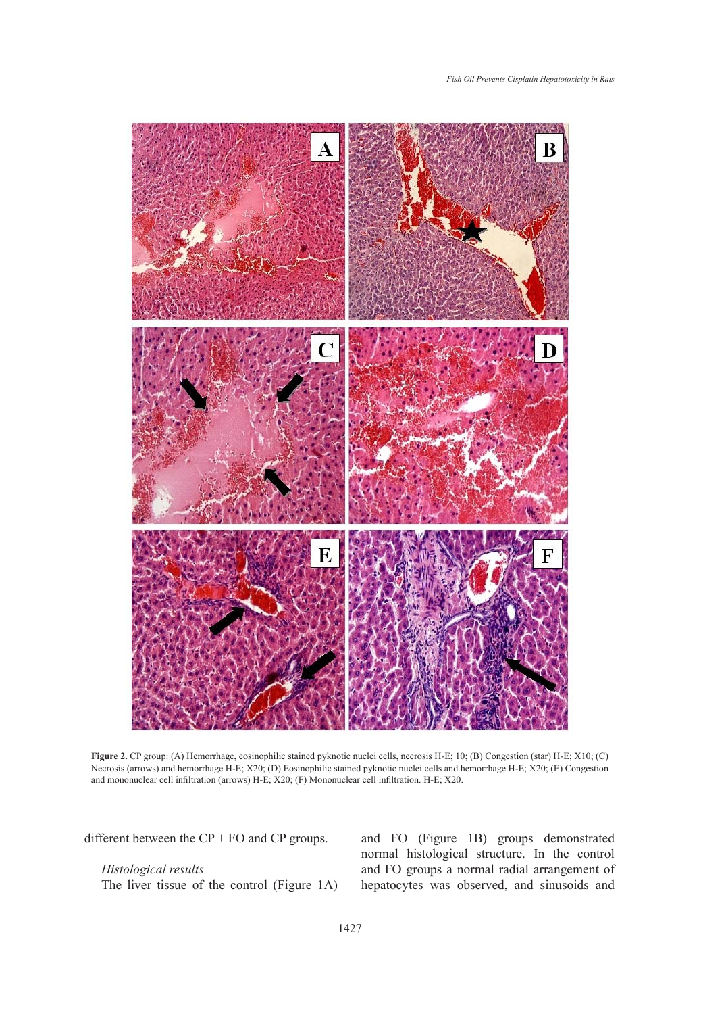

Figure 2. CP group: (A) Hemorrhage, eosinophilic stained pyknotic nuclei cells, necrosis H-E; 10; (B) Congestion (star) H-E; X10; (C) Necrosis (arrows) and hemorrhage H-E; X20; (D) Eosinophilic stained pyknotic nuclei cells and hemorrhage H-E; X20; (E) Congestion and mononuclear cell infiltration (arrows) H-E; X20; (F) Mononuclear cell infiltration. H-E; X20.

different between the  $CP + FO$  and  $CP$  groups.

# *Histological results*

The liver tissue of the control (Figure 1A)

and FO (Figure 1B) groups demonstrated normal histological structure. In the control and FO groups a normal radial arrangement of hepatocytes was observed, and sinusoids and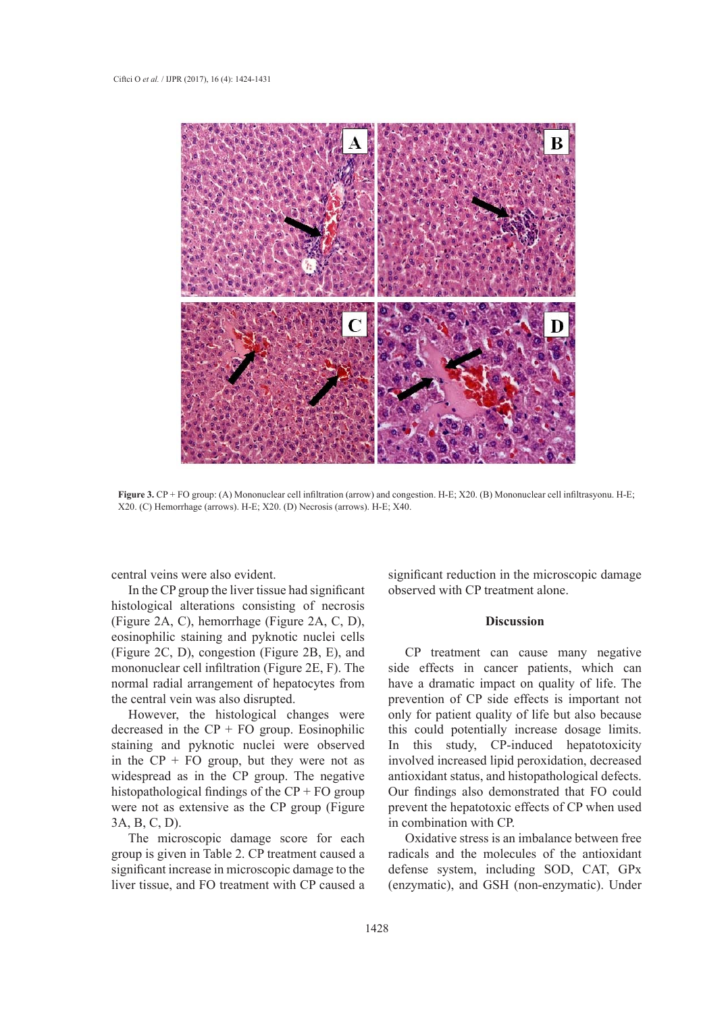

Figure 3. CP + FO group: (A) Mononuclear cell infiltration (arrow) and congestion. H-E; X20. (B) Mononuclear cell infiltrasyonu. H-E; X20. (C) Hemorrhage (arrows). H-E; X20. (D) Necrosis (arrows). H-E; X40. Necrosis (arrows). H-E; X40.

central veins were also evident.

In the CP group the liver tissue had significant histological alterations consisting of necrosis (Figure 2A, C), hemorrhage (Figure 2A, C, D), eosinophilic staining and pyknotic nuclei cells (Figure 2C, D), congestion (Figure 2B, E), and mononuclear cell infiltration (Figure 2E, F). The normal radial arrangement of hepatocytes from the central vein was also disrupted.

However, the histological changes were decreased in the  $CP + FO$  group. Eosinophilic staining and pyknotic nuclei were observed in the  $CP + FO$  group, but they were not as widespread as in the CP group. The negative histopathological findings of the  $\text{CP} + \text{FO}$  group were not as extensive as the CP group (Figure 3A, B, C, D).

The microscopic damage score for each group is given in Table 2. CP treatment caused a significant increase in microscopic damage to the liver tissue, and FO treatment with CP caused a significant reduction in the microscopic damage observed with CP treatment alone.

#### **Discussion**

CP treatment can cause many negative side effects in cancer patients, which can have a dramatic impact on quality of life. The prevention of CP side effects is important not only for patient quality of life but also because this could potentially increase dosage limits. In this study, CP-induced hepatotoxicity involved increased lipid peroxidation, decreased antioxidant status, and histopathological defects. Our findings also demonstrated that FO could prevent the hepatotoxic effects of CP when used in combination with CP.

Oxidative stress is an imbalance between free radicals and the molecules of the antioxidant defense system, including SOD, CAT, GPx (enzymatic), and GSH (non-enzymatic). Under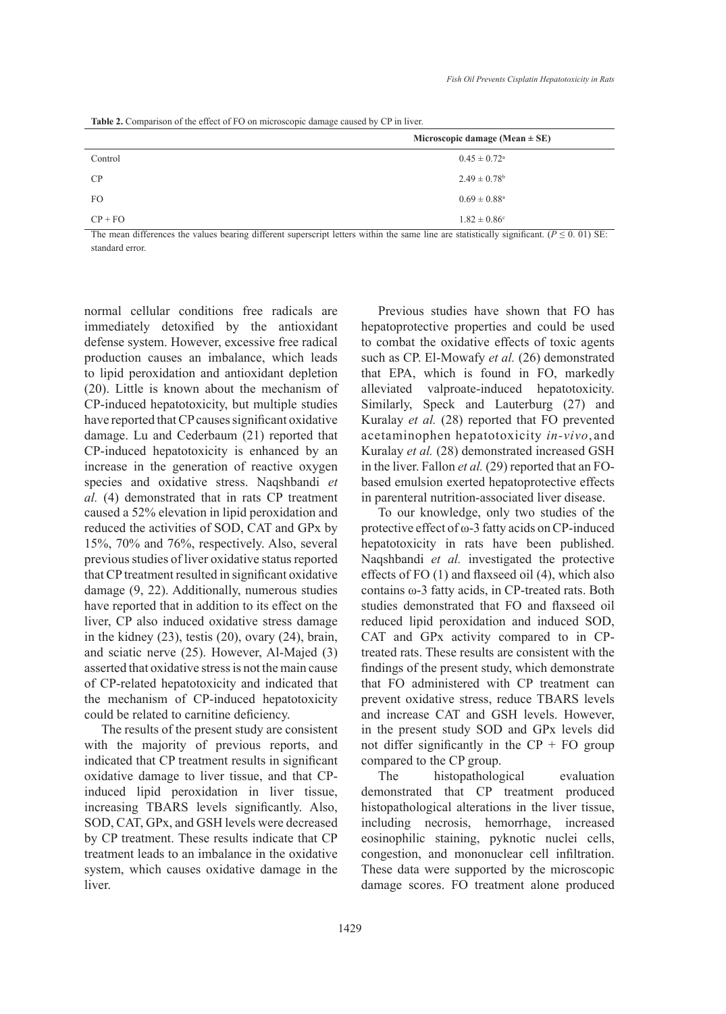**Table 2.** Comparison of the effect of FO on microscopic damage caused by CP in liver.

|           | Microscopic damage (Mean $\pm$ SE) |  |  |
|-----------|------------------------------------|--|--|
| Control   | $0.45 \pm 0.72$ <sup>a</sup>       |  |  |
| CP        | $2.49 \pm 0.78$ <sup>b</sup>       |  |  |
| FO.       | $0.69 \pm 0.88^{\rm a}$            |  |  |
| $CP + FO$ | $1.82 \pm 0.86$ <sup>c</sup>       |  |  |

The mean differences the values bearing different superscript letters within the same line are statistically significant. ( $P \le 0.01$ ) SE: standard error.

normal cellular conditions free radicals are immediately detoxified by the antioxidant defense system. However, excessive free radical production causes an imbalance, which leads to lipid peroxidation and antioxidant depletion (20). Little is known about the mechanism of CP-induced hepatotoxicity, but multiple studies have reported that CP causes significant oxidative damage. Lu and Cederbaum (21) reported that CP-induced hepatotoxicity is enhanced by an increase in the generation of reactive oxygen species and oxidative stress. Naqshbandi *et al.* (4) demonstrated that in rats CP treatment caused a 52% elevation in lipid peroxidation and reduced the activities of SOD, CAT and GPx by 15%, 70% and 76%, respectively. Also, several previous studies of liver oxidative status reported that CP treatment resulted in significant oxidative damage (9, 22). Additionally, numerous studies have reported that in addition to its effect on the liver, CP also induced oxidative stress damage in the kidney (23), testis (20), ovary (24), brain, and sciatic nerve (25). However, Al-Majed (3) asserted that oxidative stress is not the main cause of CP-related hepatotoxicity and indicated that the mechanism of CP-induced hepatotoxicity could be related to carnitine deficiency.

The results of the present study are consistent with the majority of previous reports, and indicated that CP treatment results in significant oxidative damage to liver tissue, and that CPinduced lipid peroxidation in liver tissue, increasing TBARS levels significantly. Also, SOD, CAT, GPx, and GSH levels were decreased by CP treatment. These results indicate that CP treatment leads to an imbalance in the oxidative system, which causes oxidative damage in the liver.

Previous studies have shown that FO has hepatoprotective properties and could be used to combat the oxidative effects of toxic agents such as CP. El-Mowafy *et al.* (26) demonstrated that EPA, which is found in FO, markedly alleviated valproate-induced hepatotoxicity. Similarly, Speck and Lauterburg (27) and Kuralay *et al.* (28) reported that FO prevented acetaminophen hepatotoxicity *in-vivo*, and Kuralay *et al.* (28) demonstrated increased GSH in the liver. Fallon *et al.* (29) reported that an FObased emulsion exerted hepatoprotective effects in parenteral nutrition-associated liver disease.

To our knowledge, only two studies of the protective effect of ω-3 fatty acids on CP-induced hepatotoxicity in rats have been published. Naqshbandi *et al.* investigated the protective effects of FO (1) and flaxseed oil (4), which also contains ω-3 fatty acids, in CP-treated rats. Both studies demonstrated that FO and flaxseed oil reduced lipid peroxidation and induced SOD, CAT and GPx activity compared to in CPtreated rats. These results are consistent with the findings of the present study, which demonstrate that FO administered with CP treatment can prevent oxidative stress, reduce TBARS levels and increase CAT and GSH levels. However, in the present study SOD and GPx levels did not differ significantly in the  $CP + FO$  group compared to the CP group.

The histopathological evaluation demonstrated that CP treatment produced histopathological alterations in the liver tissue, including necrosis, hemorrhage, increased eosinophilic staining, pyknotic nuclei cells, congestion, and mononuclear cell infiltration. These data were supported by the microscopic damage scores. FO treatment alone produced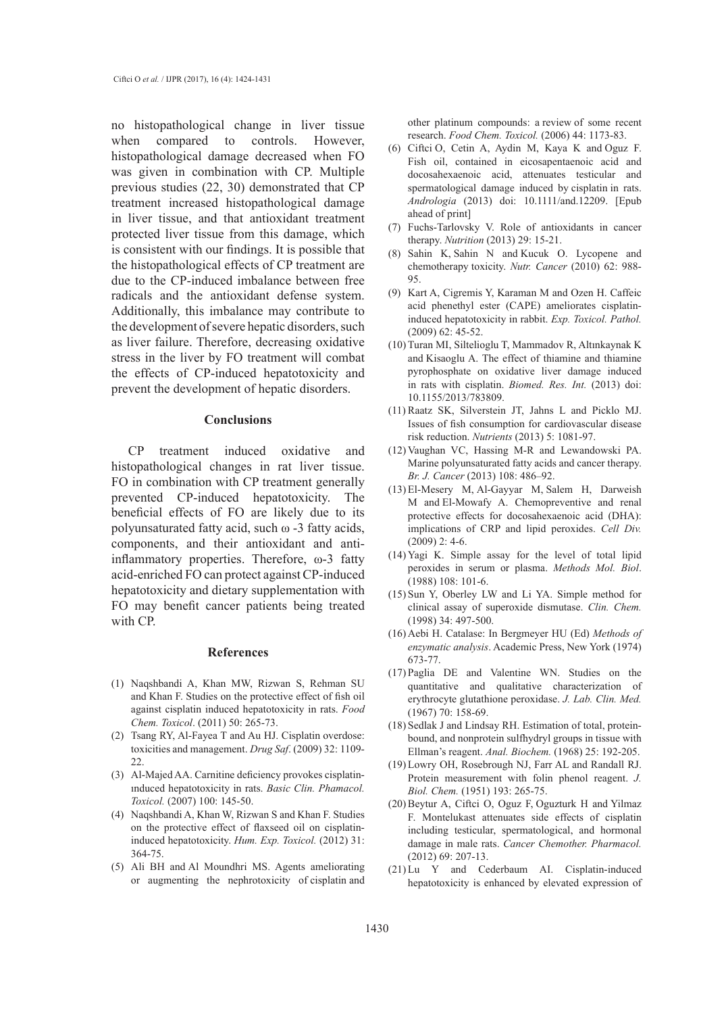no histopathological change in liver tissue when compared to controls. However, histopathological damage decreased when FO was given in combination with CP. Multiple previous studies (22, 30) demonstrated that CP treatment increased histopathological damage in liver tissue, and that antioxidant treatment protected liver tissue from this damage, which is consistent with our findings. It is possible that the histopathological effects of CP treatment are due to the CP-induced imbalance between free radicals and the antioxidant defense system. Additionally, this imbalance may contribute to the development of severe hepatic disorders, such as liver failure. Therefore, decreasing oxidative stress in the liver by FO treatment will combat the effects of CP-induced hepatotoxicity and prevent the development of hepatic disorders.

## **Conclusions**

CP treatment induced oxidative and histopathological changes in rat liver tissue. FO in combination with CP treatment generally prevented CP-induced hepatotoxicity. The beneficial effects of FO are likely due to its polyunsaturated fatty acid, such ω -3 fatty acids, components, and their antioxidant and antiinflammatory properties. Therefore, ω-3 fatty acid-enriched FO can protect against CP-induced hepatotoxicity and dietary supplementation with FO may benefit cancer patients being treated with CP.

## **References**

- Naqshbandi A, Khan MW, Rizwan S, Rehman SU (1) and Khan F. Studies on the protective effect of fish oil against cisplatin induced hepatotoxicity in rats. *Food Chem. Toxicol*. (2011) 50: 265-73.
- (2) Tsang RY, Al-Fayea T and Au HJ. Cisplatin overdose: toxicities and management. *Drug Saf*. (2009) 32: 1109- 22.
- Al-Majed AA. Carnitine deficiency provokes cisplatin-(3) ınduced hepatotoxicity in rats. *Basic Clin. Phamacol. Toxicol.* (2007) 100: 145-50.
- Naqshbandi A, Khan W, Rizwan S and Khan F. Studies (4) on the protective effect of flaxseed oil on cisplatininduced hepatotoxicity. *Hum. Exp. Toxicol.* (2012) 31: 364-75.
- (5) Ali BH and Al Moundhri MS. Agents ameliorating or augmenting the nephrotoxicity of cisplatin and

other platinum compounds: a review of some recent research. *Food Chem. Toxicol.* (2006) 44: 1173-83.

- $(6)$  Ciftci O, Cetin A, Aydin M, Kaya K and Oguz F. Fish oil, contained in eicosapentaenoic acid and docosahexaenoic acid, attenuates testicular and spermatological damage induced by cisplatin in rats. *Andrologia* (2013) doi: 10.1111/and.12209. [Epub ahead of print]
- Fuchs-Tarlovsky V. Role of antioxidants in cancer (7) therapy. *Nutrition* (2013) 29: 15-21.
- Sahin K, Sahin N and Kucuk O. Lycopene and chemotherapy toxicity. *Nutr. Cancer* (2010) 62: 988- 95. (8)
- (9) Kart A, Cigremis Y, Karaman M and Ozen H. Caffeic acid phenethyl ester (CAPE) ameliorates cisplatininduced hepatotoxicity in rabbit. *Exp. Toxicol. Pathol.* (2009) 62: 45-52.
- (10) Turan MI, Siltelioglu T, Mammadov R, Altınkaynak K and Kisaoglu A. The effect of thiamine and thiamine pyrophosphate on oxidative liver damage induced in rats with cisplatin. *Biomed. Res. Int.* (2013) doi: 10.1155/2013/783809.
- $(11)$  Raatz SK, Silverstein JT, Jahns L and Picklo MJ. Issues of fish consumption for cardiovascular disease risk reduction. *Nutrients* (2013) 5: 1081-97.
- $(12)$  Vaughan VC, Hassing M-R and Lewandowski PA. Marine polyunsaturated fatty acids and cancer therapy. *Br. J. Cancer* (2013) 108: 486–92.
- El-Mesery M, Al-Gayyar M, Salem H, Darweish (13) M and El-Mowafy A. Chemopreventive and renal protective effects for docosahexaenoic acid (DHA): implications of CRP and lipid peroxides. *Cell Div.*  (2009) 2: 4-6.
- $(14)$  Yagi K. Simple assay for the level of total lipid peroxides in serum or plasma. *Methods Mol. Biol*. (1988) 108: 101-6.
- $(15)$  Sun Y, Oberley LW and Li YA. Simple method for clinical assay of superoxide dismutase. *Clin. Chem.*  (1998) 34: 497-500.
- (16) Aebi H. Catalase: In Bergmeyer HU (Ed) Methods of *enzymatic analysis*. Academic Press, New York (1974) 673-77.
- $(17)$  Paglia DE and Valentine WN. Studies on the quantitative and qualitative characterization of erythrocyte glutathione peroxidase. *J. Lab. Clin. Med.*  (1967) 70: 158-69.
- (18) Sedlak J and Lindsay RH. Estimation of total, proteinbound, and nonprotein sulfhydryl groups in tissue with Ellman's reagent. *Anal. Biochem.* (1968) 25: 192-205.
- (19) Lowry OH, Rosebrough NJ, Farr AL and Randall RJ. Protein measurement with folin phenol reagent. *J. Biol. Chem.* (1951) 193: 265-75.
- (20) Beytur A, Ciftci O, Oguz F, Oguzturk H and Yilmaz F. Montelukast attenuates side effects of cisplatin including testicular, spermatological, and hormonal damage in male rats. *Cancer Chemother. Pharmacol.* (2012) 69: 207-13.
- (21) Lu Y and Cederbaum AI. Cisplatin-induced hepatotoxicity is enhanced by elevated expression of